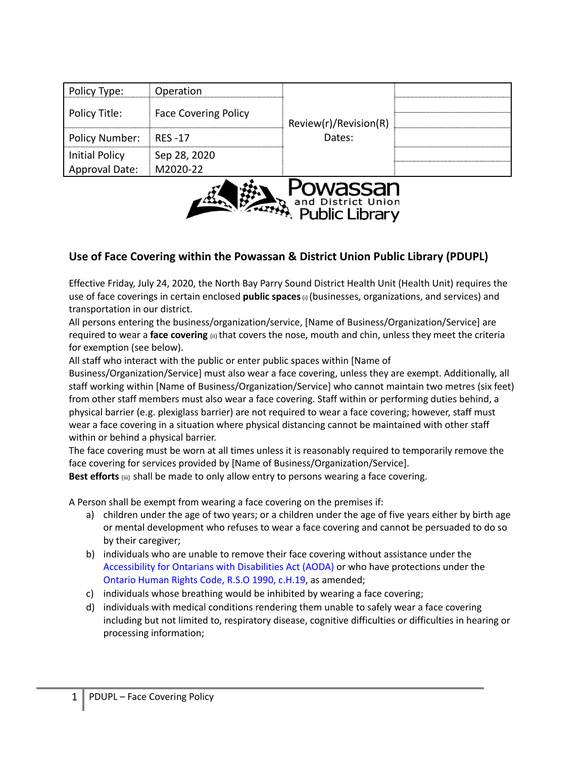| <b>Approval Date:</b> | M2020-22                    |                       |  |
|-----------------------|-----------------------------|-----------------------|--|
| <b>Initial Policy</b> | Sep 28, 2020                |                       |  |
| Policy Number:        | RES -17                     | Dates:                |  |
| Policy Title:         | <b>Face Covering Policy</b> | Review(r)/Revision(R) |  |
|                       |                             |                       |  |
| Policy Type:          | Operation                   |                       |  |



## **Use of Face Covering within the Powassan & District Union Public Library (PDUPL)**

Effective Friday, July 24, 2020, the North Bay Parry Sound District Health Unit (Health Unit) requires the use of face coverings in certain enclosed **public spaces**(i) (businesses, organizations, and services) and transportation in our district.

All persons entering the business/organization/service, [Name of Business/Organization/Service] are required to wear a **face covering** (ii) that covers the nose, mouth and chin, unless they meet the criteria for exemption (see below).

All staff who interact with the public or enter public spaces within [Name of

Business/Organization/Service] must also wear a face covering, unless they are exempt. Additionally, all staff working within [Name of Business/Organization/Service] who cannot maintain two metres (six feet) from other staff members must also wear a face covering. Staff within or performing duties behind, a physical barrier (e.g. plexiglass barrier) are not required to wear a face covering; however, staff must wear a face covering in a situation where physical distancing cannot be maintained with other staff within or behind a physical barrier.

The face covering must be worn at all times unless it is reasonably required to temporarily remove the face covering for services provided by [Name of Business/Organization/Service].

**Best efforts** (iii) shall be made to only allow entry to persons wearing a face covering.

A Person shall be exempt from wearing a face covering on the premises if:

- a) children under the age of two years; or a children under the age of five years either by birth age or mental development who refuses to wear a face covering and cannot be persuaded to do so by their caregiver;
- b) individuals who are unable to remove their face covering without assistance under the Accessibility for Ontarians with Disabilities Act (AODA) or who have protections under the Ontario Human Rights Code, R.S.O 1990, c.H.19, as amended;
- c) individuals whose breathing would be inhibited by wearing a face covering;
- d) individuals with medical conditions rendering them unable to safely wear a face covering including but not limited to, respiratory disease, cognitive difficulties or difficulties in hearing or processing information;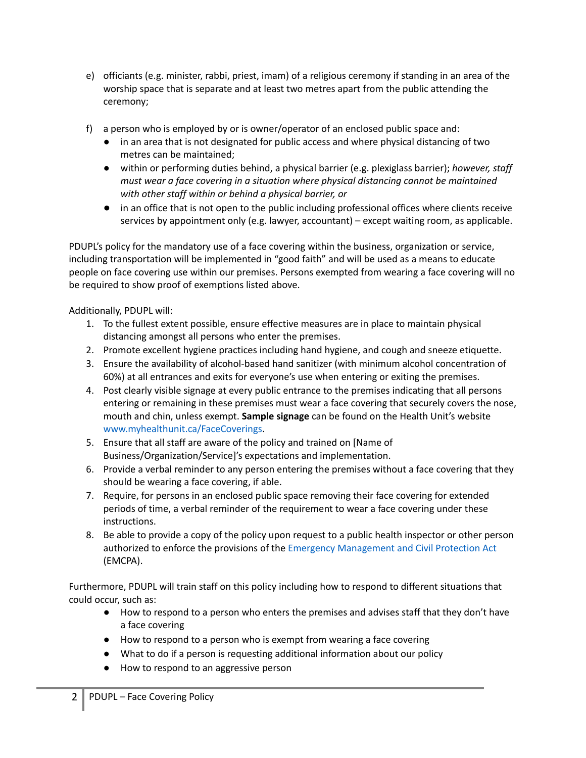- e) officiants (e.g. minister, rabbi, priest, imam) of a religious ceremony if standing in an area of the worship space that is separate and at least two metres apart from the public attending the ceremony;
- f) a person who is employed by or is owner/operator of an enclosed public space and:
	- in an area that is not designated for public access and where physical distancing of two metres can be maintained;
	- within or performing duties behind, a physical barrier (e.g. plexiglass barrier); *however, staff must wear a face covering in a situation where physical distancing cannot be maintained with other staff within or behind a physical barrier, or*
	- in an office that is not open to the public including professional offices where clients receive services by appointment only (e.g. lawyer, accountant) – except waiting room, as applicable.

PDUPL's policy for the mandatory use of a face covering within the business, organization or service, including transportation will be implemented in "good faith" and will be used as a means to educate people on face covering use within our premises. Persons exempted from wearing a face covering will no be required to show proof of exemptions listed above.

Additionally, PDUPL will:

- 1. To the fullest extent possible, ensure effective measures are in place to maintain physical distancing amongst all persons who enter the premises.
- 2. Promote excellent hygiene practices including hand hygiene, and cough and sneeze etiquette.
- 3. Ensure the availability of alcohol-based hand sanitizer (with minimum alcohol concentration of 60%) at all entrances and exits for everyone's use when entering or exiting the premises.
- 4. Post clearly visible signage at every public entrance to the premises indicating that all persons entering or remaining in these premises must wear a face covering that securely covers the nose, mouth and chin, unless exempt. **Sample signage** can be found on the Health Unit's website www.myhealthunit.ca/FaceCoverings.
- 5. Ensure that all staff are aware of the policy and trained on [Name of Business/Organization/Service]'s expectations and implementation.
- 6. Provide a verbal reminder to any person entering the premises without a face covering that they should be wearing a face covering, if able.
- 7. Require, for persons in an enclosed public space removing their face covering for extended periods of time, a verbal reminder of the requirement to wear a face covering under these instructions.
- 8. Be able to provide a copy of the policy upon request to a public health inspector or other person authorized to enforce the provisions of the Emergency Management and Civil Protection Act (EMCPA).

Furthermore, PDUPL will train staff on this policy including how to respond to different situations that could occur, such as:

- How to respond to a person who enters the premises and advises staff that they don't have a face covering
- How to respond to a person who is exempt from wearing a face covering
- What to do if a person is requesting additional information about our policy
- How to respond to an aggressive person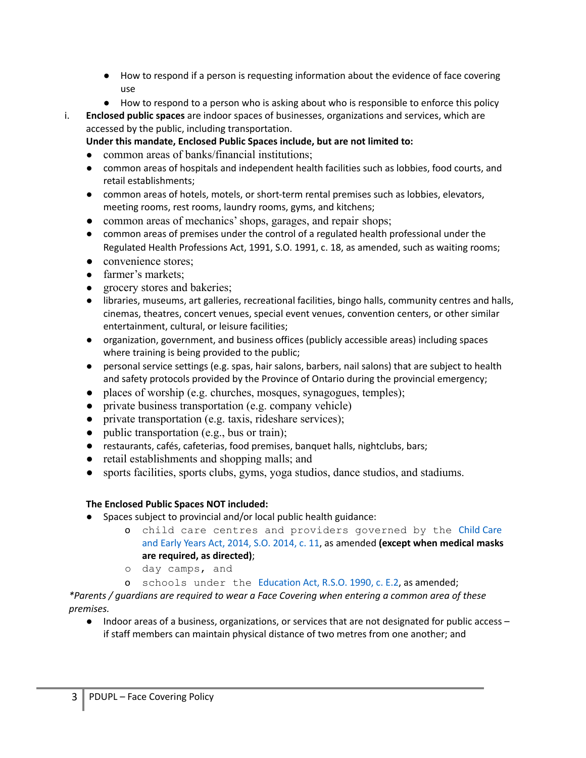- How to respond if a person is requesting information about the evidence of face covering use
- How to respond to a person who is asking about who is responsible to enforce this policy
- i. **Enclosed public spaces** are indoor spaces of businesses, organizations and services, which are accessed by the public, including transportation.
	- **Under this mandate, Enclosed Public Spaces include, but are not limited to:**
	- common areas of banks/financial institutions;
	- common areas of hospitals and independent health facilities such as lobbies, food courts, and retail establishments;
	- common areas of hotels, motels, or short-term rental premises such as lobbies, elevators, meeting rooms, rest rooms, laundry rooms, gyms, and kitchens;
	- common areas of mechanics' shops, garages, and repair shops;
	- common areas of premises under the control of a regulated health professional under the Regulated Health Professions Act, 1991, S.O. 1991, c. 18, as amended, such as waiting rooms;
	- convenience stores:
	- farmer's markets;
	- grocery stores and bakeries;
	- libraries, museums, art galleries, recreational facilities, bingo halls, community centres and halls, cinemas, theatres, concert venues, special event venues, convention centers, or other similar entertainment, cultural, or leisure facilities;
	- organization, government, and business offices (publicly accessible areas) including spaces where training is being provided to the public;
	- personal service settings (e.g. spas, hair salons, barbers, nail salons) that are subject to health and safety protocols provided by the Province of Ontario during the provincial emergency;
	- places of worship (e.g. churches, mosques, synagogues, temples);
	- private business transportation (e.g. company vehicle)
	- private transportation (e.g. taxis, rideshare services);
	- public transportation (e.g., bus or train);
	- restaurants, cafés, cafeterias, food premises, banquet halls, nightclubs, bars;
	- retail establishments and shopping malls; and
	- sports facilities, sports clubs, gyms, yoga studios, dance studios, and stadiums.

## **The Enclosed Public Spaces NOT included:**

- Spaces subject to provincial and/or local public health guidance:
	- o child care centres and providers governed by the Child Care and Early Years Act, 2014, S.O. 2014, c. 11, as amended **(except when medical masks are required, as directed)**;
	- o day camps, and
	- o schools under the Education Act, R.S.O. 1990, c. E.2, as amended;

*\*Parents / guardians are required to wear a Face Covering when entering a common area of these premises.*

● Indoor areas of a business, organizations, or services that are not designated for public access – if staff members can maintain physical distance of two metres from one another; and